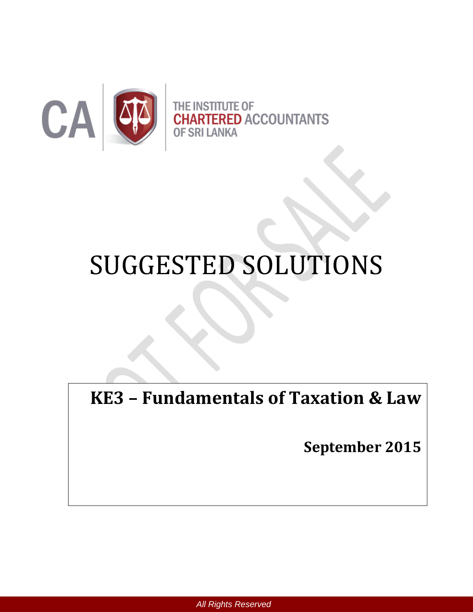

**ITE OF RED ACCOUNTANTS OF SRI LANKA** 

# SUGGESTED SOLUTIONS

**KE3 – Fundamentals of Taxation & Law**

**September 2015**

*All Rights Reserved*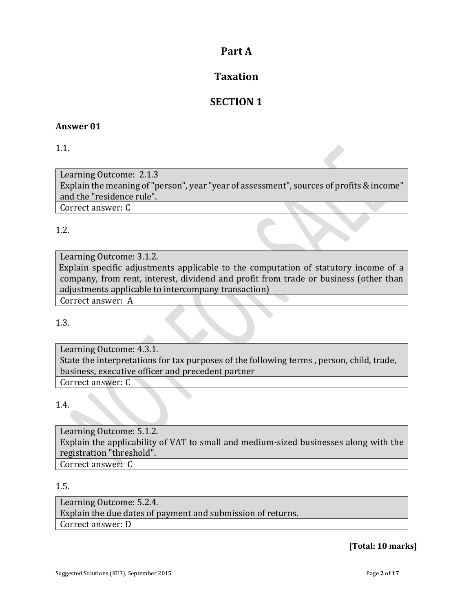## **Part A**

## **Taxation**

## **SECTION 1**

#### **Answer 01**

1.1.

Learning Outcome: 2.1.3 Explain the meaning of "person", year "year of assessment", sources of profits & income" and the "residence rule". Correct answer: C

1.2.

Learning Outcome: 3.1.2. Explain specific adjustments applicable to the computation of statutory income of a company, from rent, interest, dividend and profit from trade or business (other than adjustments applicable to intercompany transaction)

Correct answer: A

1.3.

Learning Outcome: 4.3.1. State the interpretations for tax purposes of the following terms , person, child, trade, business, executive officer and precedent partner Correct answer: C

1.4.

Learning Outcome: 5.1.2. Explain the applicability of VAT to small and medium-sized businesses along with the registration "threshold". Correct answer: C

1.5.

Learning Outcome: 5.2.4. Explain the due dates of payment and submission of returns. Correct answer: D

**[Total: 10 marks]**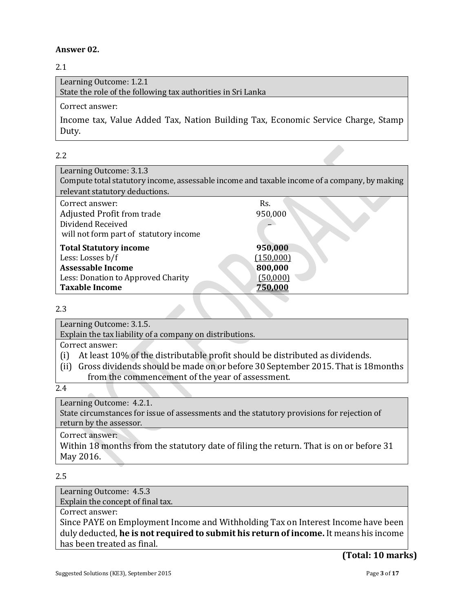#### **Answer 02.**

#### 2.1

| Learning Outcome: 1.2.1                                      |
|--------------------------------------------------------------|
| State the role of the following tax authorities in Sri Lanka |
| Correct answer:                                              |

Income tax, Value Added Tax, Nation Building Tax, Economic Service Charge, Stamp Duty.

#### 2.2

| Learning Outcome: 3.1.3                                                                      |           |
|----------------------------------------------------------------------------------------------|-----------|
| Compute total statutory income, assessable income and taxable income of a company, by making |           |
| relevant statutory deductions.                                                               |           |
| Correct answer:                                                                              | Rs.       |
| <b>Adjusted Profit from trade</b>                                                            | 950,000   |
| Dividend Received                                                                            |           |
| will not form part of statutory income                                                       |           |
| <b>Total Statutory income</b>                                                                | 950,000   |
| Less: Losses b/f                                                                             | (150,000) |
| <b>Assessable Income</b>                                                                     | 800,000   |
| Less: Donation to Approved Charity                                                           | (50,000)  |
| <b>Taxable Income</b>                                                                        | 750.000   |

#### 2.3

Learning Outcome: 3.1.5.

Explain the tax liability of a company on distributions.

Correct answer:

- (i) At least 10% of the distributable profit should be distributed as dividends.
- (ii) Gross dividends should be made on or before 30 September 2015. That is 18months from the commencement of the year of assessment.

2.4

Learning Outcome: 4.2.1.

State circumstances for issue of assessments and the statutory provisions for rejection of return by the assessor.

Correct answer:

Within 18 months from the statutory date of filing the return. That is on or before 31 May 2016.

#### 2.5

Learning Outcome: 4.5.3 Explain the concept of final tax.

Correct answer:

Since PAYE on Employment Income and Withholding Tax on Interest Income have been duly deducted, **he is not required to submit his return of income.** It means his income has been treated as final.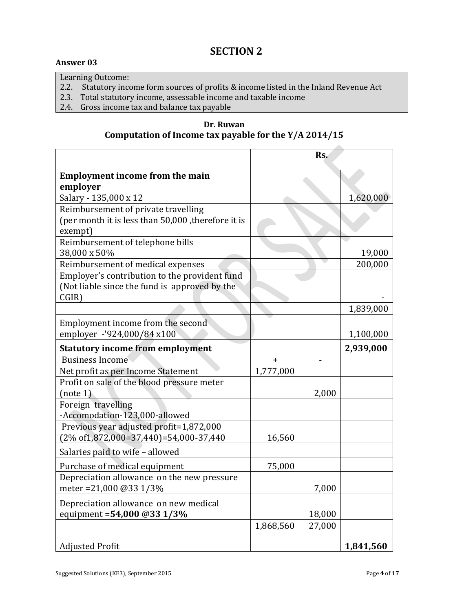Learning Outcome:

- 2.2. Statutory income form sources of profits & income listed in the Inland Revenue Act
- 2.3. Total statutory income, assessable income and taxable income
- 2.4. Gross income tax and balance tax payable

**Dr. Ruwan Computation of Income tax payable for the Y/A 2014/15**

|                                                     | Rs.       |        |           |
|-----------------------------------------------------|-----------|--------|-----------|
| <b>Employment income from the main</b>              |           |        |           |
| employer                                            |           |        |           |
| Salary - 135,000 x 12                               |           |        | 1,620,000 |
| Reimbursement of private travelling                 |           |        |           |
| (per month it is less than 50,000 , therefore it is |           |        |           |
| exempt)                                             |           |        |           |
| Reimbursement of telephone bills                    |           |        |           |
| 38,000 x 50%                                        |           |        | 19,000    |
| Reimbursement of medical expenses                   |           |        | 200,000   |
| Employer's contribution to the provident fund       |           |        |           |
| (Not liable since the fund is approved by the       |           |        |           |
| CGIR)                                               |           |        |           |
|                                                     |           |        | 1,839,000 |
| Employment income from the second                   |           |        |           |
| employer -'924,000/84 x100                          |           |        | 1,100,000 |
| <b>Statutory income from employment</b>             |           |        | 2,939,000 |
| <b>Business Income</b>                              | $+$       |        |           |
| Net profit as per Income Statement                  | 1,777,000 |        |           |
| Profit on sale of the blood pressure meter          |           |        |           |
| (note 1)                                            |           | 2,000  |           |
| Foreign travelling                                  |           |        |           |
| -Accomodation-123,000-allowed                       |           |        |           |
| Previous year adjusted profit=1,872,000             |           |        |           |
| $(2\% \text{ of } 1,872,000=37,440)=54,000-37,440$  | 16,560    |        |           |
| Salaries paid to wife - allowed                     |           |        |           |
| Purchase of medical equipment                       | 75,000    |        |           |
| Depreciation allowance on the new pressure          |           |        |           |
| meter = 21,000 @ 33 1/3%                            |           | 7,000  |           |
| Depreciation allowance on new medical               |           |        |           |
| equipment = 54,000 @33 1/3%                         |           | 18,000 |           |
|                                                     | 1,868,560 | 27,000 |           |
|                                                     |           |        |           |
| <b>Adjusted Profit</b>                              |           |        | 1,841,560 |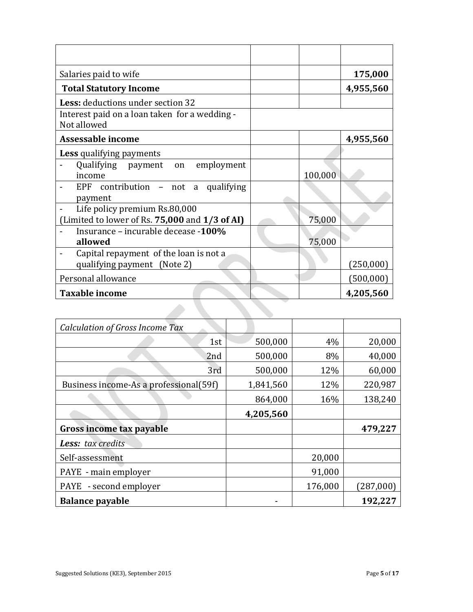| Salaries paid to wife                                                 |         | 175,000   |
|-----------------------------------------------------------------------|---------|-----------|
| <b>Total Statutory Income</b>                                         |         | 4,955,560 |
| Less: deductions under section 32                                     |         |           |
| Interest paid on a loan taken for a wedding -<br>Not allowed          |         |           |
| <b>Assessable income</b>                                              |         | 4,955,560 |
| <b>Less</b> qualifying payments                                       |         |           |
| Qualifying payment on employment<br>income                            | 100,000 |           |
| EPF contribution - not a qualifying<br>payment                        |         |           |
| Life policy premium Rs.80,000                                         |         |           |
| (Limited to lower of Rs. 75,000 and 1/3 of AI)                        | 75,000  |           |
| Insurance – incurable decease -100%<br>allowed                        | 75,000  |           |
| Capital repayment of the loan is not a<br>qualifying payment (Note 2) |         | (250,000) |
| Personal allowance                                                    |         | (500,000) |
| <b>Taxable income</b>                                                 |         | 4,205,560 |

| <b>Calculation of Gross Income Tax</b> |           |         |           |
|----------------------------------------|-----------|---------|-----------|
| 1st                                    | 500,000   | 4%      | 20,000    |
| 2 <sub>nd</sub>                        | 500,000   | 8%      | 40,000    |
| 3rd                                    | 500,000   | 12%     | 60,000    |
| Business income-As a professional(59f) | 1,841,560 | 12%     | 220,987   |
|                                        | 864,000   | 16%     | 138,240   |
|                                        | 4,205,560 |         |           |
| Gross income tax payable               |           |         | 479,227   |
| <b>Less:</b> tax credits               |           |         |           |
| Self-assessment                        |           | 20,000  |           |
| PAYE - main employer                   |           | 91,000  |           |
| - second employer<br><b>PAYE</b>       |           | 176,000 | (287,000) |
| <b>Balance payable</b>                 |           |         | 192,227   |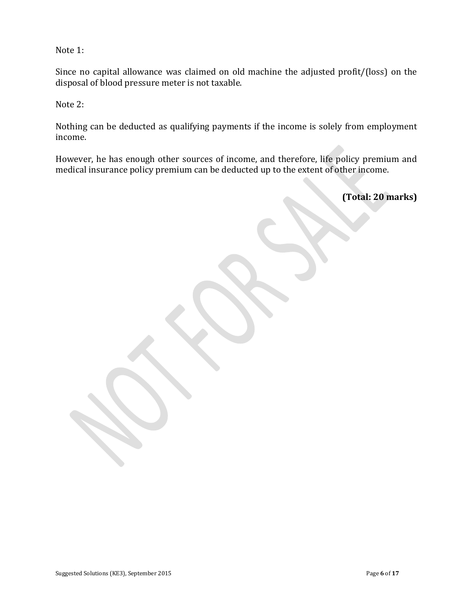Note 1:

Since no capital allowance was claimed on old machine the adjusted profit/(loss) on the disposal of blood pressure meter is not taxable.

Note 2:

Nothing can be deducted as qualifying payments if the income is solely from employment income.

However, he has enough other sources of income, and therefore, life policy premium and medical insurance policy premium can be deducted up to the extent of other income.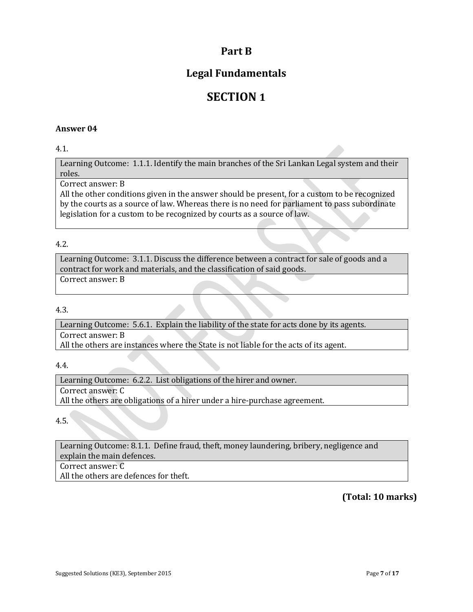## **Part B**

## **Legal Fundamentals**

## **SECTION 1**

#### **Answer 04**

#### 4.1.

Learning Outcome: 1.1.1. Identify the main branches of the Sri Lankan Legal system and their roles.

#### Correct answer: B

All the other conditions given in the answer should be present, for a custom to be recognized by the courts as a source of law. Whereas there is no need for parliament to pass subordinate legislation for a custom to be recognized by courts as a source of law.

#### 4.2.

Learning Outcome: 3.1.1. Discuss the difference between a contract for sale of goods and a contract for work and materials, and the classification of said goods. Correct answer: B

#### 4.3.

Learning Outcome: 5.6.1. Explain the liability of the state for acts done by its agents. Correct answer: B All the others are instances where the State is not liable for the acts of its agent.

#### 4.4.

Learning Outcome: 6.2.2. List obligations of the hirer and owner. Correct answer: C All the others are obligations of a hirer under a hire-purchase agreement.

4.5.

Learning Outcome: 8.1.1. Define fraud, theft, money laundering, bribery, negligence and explain the main defences.

Correct answer: C

All the others are defences for theft.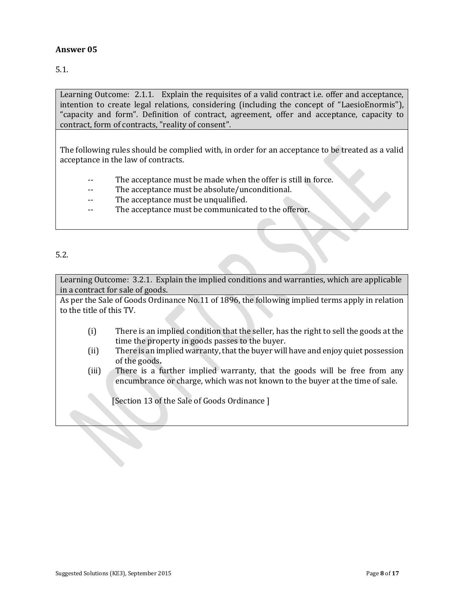5.1.

Learning Outcome: 2.1.1. Explain the requisites of a valid contract i.e. offer and acceptance, intention to create legal relations, considering (including the concept of "LaesioEnormis"), "capacity and form". Definition of contract, agreement, offer and acceptance, capacity to contract, form of contracts, "reality of consent".

The following rules should be complied with, in order for an acceptance to be treated as a valid acceptance in the law of contracts.

- The acceptance must be made when the offer is still in force.
- -- The acceptance must be absolute/unconditional.
- The acceptance must be unqualified.
- -- The acceptance must be communicated to the offeror.

#### 5.2.

Learning Outcome: 3.2.1. Explain the implied conditions and warranties, which are applicable in a contract for sale of goods.

As per the Sale of Goods Ordinance No.11 of 1896, the following implied terms apply in relation to the title of this TV.

- (i) There is an implied condition that the seller, has the right to sell the goods at the time the property in goods passes to the buyer.
- (ii) There is an implied warranty, that the buyer will have and enjoy quiet possession of the goods**.**
- (iii) There is a further implied warranty, that the goods will be free from any encumbrance or charge, which was not known to the buyer at the time of sale.

[Section 13 of the Sale of Goods Ordinance]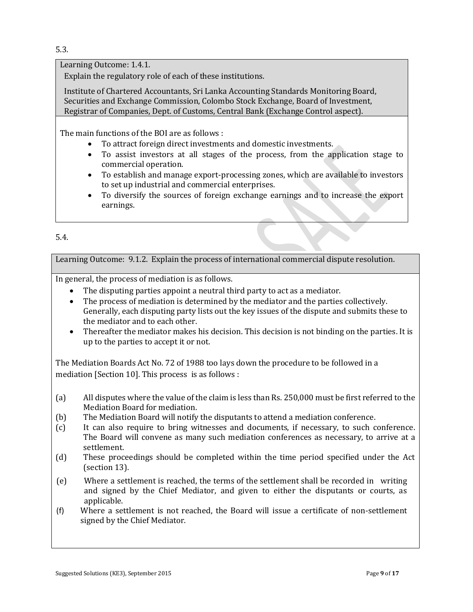5.3.

Learning Outcome: 1.4.1.

Explain the regulatory role of each of these institutions.

Institute of Chartered Accountants, Sri Lanka Accounting Standards Monitoring Board, Securities and Exchange Commission, Colombo Stock Exchange, Board of Investment, Registrar of Companies, Dept. of Customs, Central Bank (Exchange Control aspect).

The main functions of the BOI are as follows :

- To attract foreign direct investments and domestic investments.
- To assist investors at all stages of the process, from the application stage to commercial operation.
- To establish and manage export-processing zones, which are available to investors to set up industrial and commercial enterprises.
- To diversify the sources of foreign exchange earnings and to increase the export earnings.

#### 5.4.

Learning Outcome: 9.1.2. Explain the process of international commercial dispute resolution.

In general, the process of mediation is as follows.

- The disputing parties appoint a neutral third party to act as a mediator.
- The process of mediation is determined by the mediator and the parties collectively. Generally, each disputing party lists out the key issues of the dispute and submits these to the mediator and to each other.
- Thereafter the mediator makes his decision. This decision is not binding on the parties. It is up to the parties to accept it or not.

The Mediation Boards Act No. 72 of 1988 too lays down the procedure to be followed in a mediation [Section 10]. This process is as follows :

- (a) All disputes where the value of the claim is less than Rs. 250,000 must be first referred to the Mediation Board for mediation.
- (b) The Mediation Board will notify the disputants to attend a mediation conference.
- (c) It can also require to bring witnesses and documents, if necessary, to such conference. The Board will convene as many such mediation conferences as necessary, to arrive at a settlement.
- (d) These proceedings should be completed within the time period specified under the Act (section 13).
- (e) Where a settlement is reached, the terms of the settlement shall be recorded in writing and signed by the Chief Mediator, and given to either the disputants or courts, as applicable.
- (f) Where a settlement is not reached, the Board will issue a certificate of non-settlement signed by the Chief Mediator.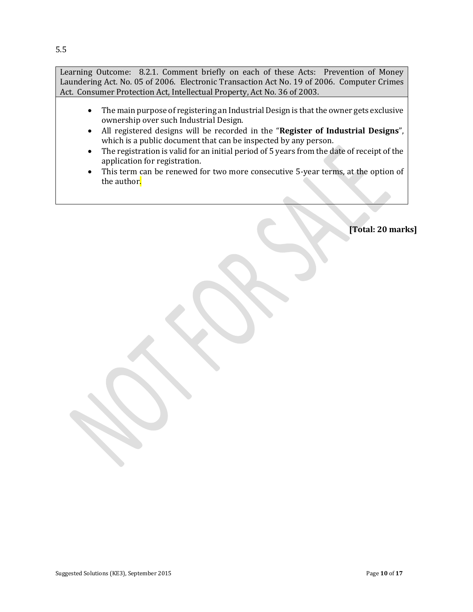Learning Outcome: 8.2.1. Comment briefly on each of these Acts: Prevention of Money Laundering Act. No. 05 of 2006. Electronic Transaction Act No. 19 of 2006. Computer Crimes Act. Consumer Protection Act, Intellectual Property, Act No. 36 of 2003.

- The main purpose of registering an Industrial Design is that the owner gets exclusive ownership over such Industrial Design.
- All registered designs will be recorded in the "**Register of Industrial Designs**", which is a public document that can be inspected by any person.
- The registration is valid for an initial period of 5 years from the date of receipt of the application for registration.
- This term can be renewed for two more consecutive 5-year terms, at the option of the author.

**[Total: 20 marks]**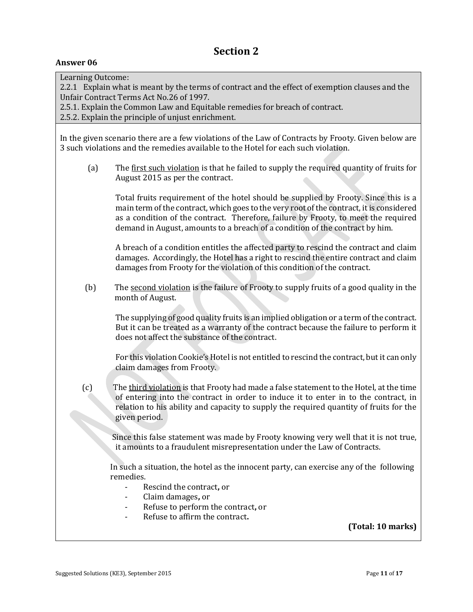| Learning Outcome:<br>2.2.1 Explain what is meant by the terms of contract and the effect of exemption clauses and the<br>Unfair Contract Terms Act No.26 of 1997.<br>2.5.1. Explain the Common Law and Equitable remedies for breach of contract.<br>2.5.2. Explain the principle of unjust enrichment. |                                                                                                                                                                                                                                                                                                                                                       |  |
|---------------------------------------------------------------------------------------------------------------------------------------------------------------------------------------------------------------------------------------------------------------------------------------------------------|-------------------------------------------------------------------------------------------------------------------------------------------------------------------------------------------------------------------------------------------------------------------------------------------------------------------------------------------------------|--|
|                                                                                                                                                                                                                                                                                                         | In the given scenario there are a few violations of the Law of Contracts by Frooty. Given below are<br>3 such violations and the remedies available to the Hotel for each such violation.                                                                                                                                                             |  |
| (a)                                                                                                                                                                                                                                                                                                     | The first such violation is that he failed to supply the required quantity of fruits for<br>August 2015 as per the contract.                                                                                                                                                                                                                          |  |
|                                                                                                                                                                                                                                                                                                         | Total fruits requirement of the hotel should be supplied by Frooty. Since this is a<br>main term of the contract, which goes to the very root of the contract, it is considered<br>as a condition of the contract. Therefore, failure by Frooty, to meet the required<br>demand in August, amounts to a breach of a condition of the contract by him. |  |
|                                                                                                                                                                                                                                                                                                         | A breach of a condition entitles the affected party to rescind the contract and claim<br>damages. Accordingly, the Hotel has a right to rescind the entire contract and claim<br>damages from Frooty for the violation of this condition of the contract.                                                                                             |  |
| (b)                                                                                                                                                                                                                                                                                                     | The second violation is the failure of Frooty to supply fruits of a good quality in the<br>month of August.                                                                                                                                                                                                                                           |  |
|                                                                                                                                                                                                                                                                                                         | The supplying of good quality fruits is an implied obligation or a term of the contract.<br>But it can be treated as a warranty of the contract because the failure to perform it<br>does not affect the substance of the contract.                                                                                                                   |  |
|                                                                                                                                                                                                                                                                                                         | For this violation Cookie's Hotel is not entitled to rescind the contract, but it can only<br>claim damages from Frooty.                                                                                                                                                                                                                              |  |
| (c)                                                                                                                                                                                                                                                                                                     | The third violation is that Frooty had made a false statement to the Hotel, at the time<br>of entering into the contract in order to induce it to enter in to the contract, in<br>relation to his ability and capacity to supply the required quantity of fruits for the<br>given period.                                                             |  |
|                                                                                                                                                                                                                                                                                                         | Since this false statement was made by Frooty knowing very well that it is not true,<br>it amounts to a fraudulent misrepresentation under the Law of Contracts.                                                                                                                                                                                      |  |
|                                                                                                                                                                                                                                                                                                         | In such a situation, the hotel as the innocent party, can exercise any of the following<br>remedies.<br>Rescind the contract, or<br>Claim damages, or<br>Refuse to perform the contract, or                                                                                                                                                           |  |
|                                                                                                                                                                                                                                                                                                         | Refuse to affirm the contract.<br>(Total: 10 marks)                                                                                                                                                                                                                                                                                                   |  |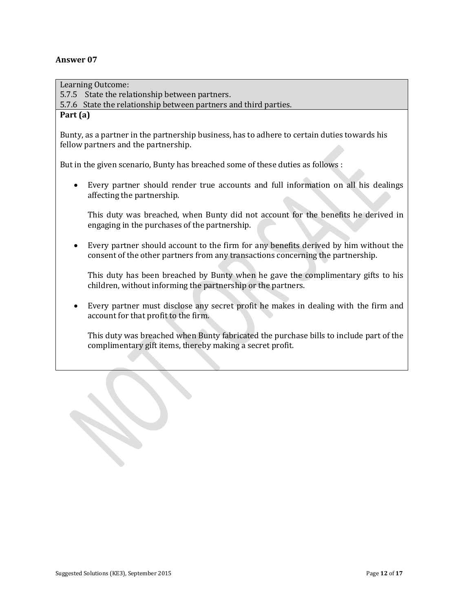Learning Outcome: 5.7.5 State the relationship between partners. 5.7.6 State the relationship between partners and third parties. **Part (a)** Bunty, as a partner in the partnership business, has to adhere to certain duties towards his fellow partners and the partnership. But in the given scenario, Bunty has breached some of these duties as follows : Every partner should render true accounts and full information on all his dealings affecting the partnership. This duty was breached, when Bunty did not account for the benefits he derived in engaging in the purchases of the partnership. Every partner should account to the firm for any benefits derived by him without the consent of the other partners from any transactions concerning the partnership. This duty has been breached by Bunty when he gave the complimentary gifts to his children, without informing the partnership or the partners. Every partner must disclose any secret profit he makes in dealing with the firm and account for that profit to the firm. This duty was breached when Bunty fabricated the purchase bills to include part of the complimentary gift items, thereby making a secret profit.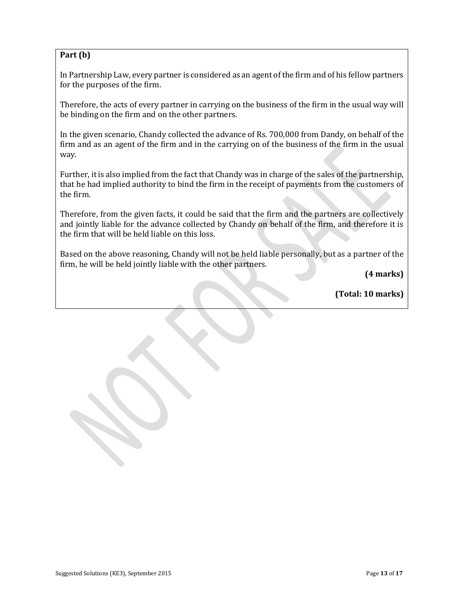#### **Part (b)**

In Partnership Law, every partner is considered as an agent of the firm and of his fellow partners for the purposes of the firm.

Therefore, the acts of every partner in carrying on the business of the firm in the usual way will be binding on the firm and on the other partners.

In the given scenario, Chandy collected the advance of Rs. 700,000 from Dandy, on behalf of the firm and as an agent of the firm and in the carrying on of the business of the firm in the usual way.

Further, it is also implied from the fact that Chandy was in charge of the sales of the partnership, that he had implied authority to bind the firm in the receipt of payments from the customers of the firm.

Therefore, from the given facts, it could be said that the firm and the partners are collectively and jointly liable for the advance collected by Chandy on behalf of the firm, and therefore it is the firm that will be held liable on this loss.

Based on the above reasoning, Chandy will not be held liable personally, but as a partner of the firm, he will be held jointly liable with the other partners.

**(4 marks)**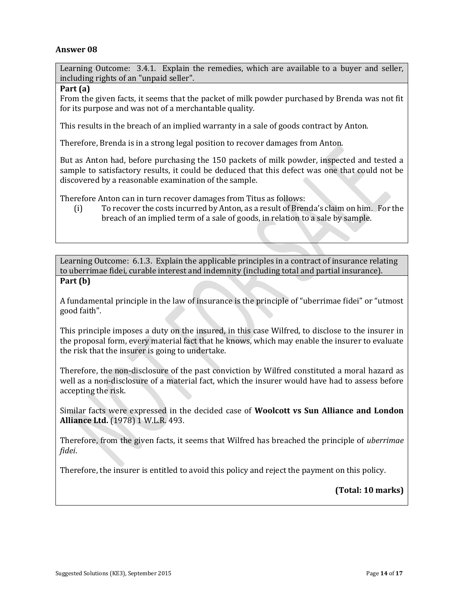Learning Outcome: 3.4.1. Explain the remedies, which are available to a buyer and seller, including rights of an "unpaid seller".

#### **Part (a)**

From the given facts, it seems that the packet of milk powder purchased by Brenda was not fit for its purpose and was not of a merchantable quality.

This results in the breach of an implied warranty in a sale of goods contract by Anton.

Therefore, Brenda is in a strong legal position to recover damages from Anton.

But as Anton had, before purchasing the 150 packets of milk powder, inspected and tested a sample to satisfactory results, it could be deduced that this defect was one that could not be discovered by a reasonable examination of the sample.

Therefore Anton can in turn recover damages from Titus as follows:

(i) To recover the costs incurred by Anton, as a result of Brenda's claim on him. For the breach of an implied term of a sale of goods, in relation to a sale by sample.

Learning Outcome: 6.1.3. Explain the applicable principles in a contract of insurance relating to uberrimae fidei, curable interest and indemnity (including total and partial insurance). **Part (b)**

A fundamental principle in the law of insurance is the principle of "uberrimae fidei" or "utmost good faith".

This principle imposes a duty on the insured, in this case Wilfred, to disclose to the insurer in the proposal form, every material fact that he knows, which may enable the insurer to evaluate the risk that the insurer is going to undertake.

Therefore, the non-disclosure of the past conviction by Wilfred constituted a moral hazard as well as a non-disclosure of a material fact, which the insurer would have had to assess before accepting the risk.

Similar facts were expressed in the decided case of **Woolcott vs Sun Alliance and London Alliance Ltd.** (1978) 1 W.L.R. 493.

Therefore, from the given facts, it seems that Wilfred has breached the principle of *uberrimae fidei*.

Therefore, the insurer is entitled to avoid this policy and reject the payment on this policy.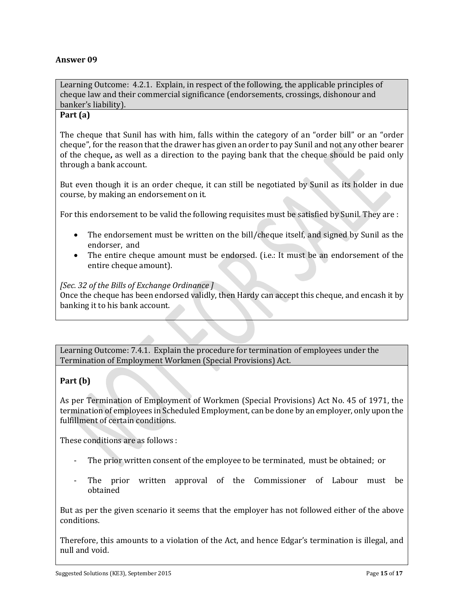Learning Outcome: 4.2.1. Explain, in respect of the following, the applicable principles of cheque law and their commercial significance (endorsements, crossings, dishonour and banker's liability).

#### **Part (a)**

The cheque that Sunil has with him, falls within the category of an "order bill" or an "order cheque", for the reason that the drawer has given an order to pay Sunil and not any other bearer of the cheque**,** as well as a direction to the paying bank that the cheque should be paid only through a bank account.

But even though it is an order cheque, it can still be negotiated by Sunil as its holder in due course, by making an endorsement on it.

For this endorsement to be valid the following requisites must be satisfied by Sunil. They are :

- The endorsement must be written on the bill/cheque itself, and signed by Sunil as the endorser, and
- The entire cheque amount must be endorsed. (i.e.: It must be an endorsement of the entire cheque amount).

#### *[Sec. 32 of the Bills of Exchange Ordinance ]*

Once the cheque has been endorsed validly, then Hardy can accept this cheque, and encash it by banking it to his bank account.

Learning Outcome: 7.4.1. Explain the procedure for termination of employees under the Termination of Employment Workmen (Special Provisions) Act.

#### **Part (b)**

As per Termination of Employment of Workmen (Special Provisions) Act No. 45 of 1971, the termination of employees in Scheduled Employment, can be done by an employer, only upon the fulfillment of certain conditions.

These conditions are as follows :

- The prior written consent of the employee to be terminated, must be obtained; or
- The prior written approval of the Commissioner of Labour must be obtained

But as per the given scenario it seems that the employer has not followed either of the above conditions.

Therefore, this amounts to a violation of the Act, and hence Edgar's termination is illegal, and null and void.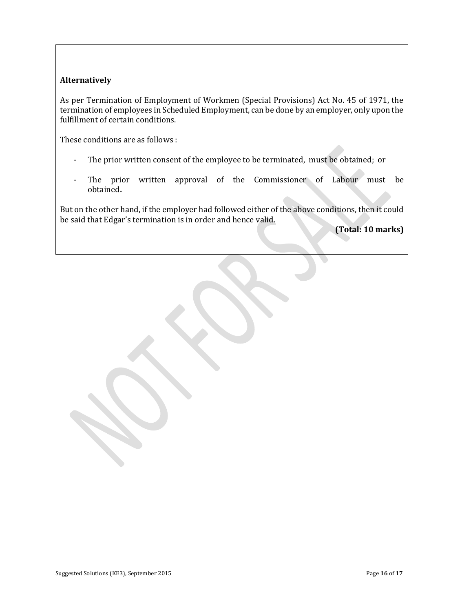#### **Alternatively**

As per Termination of Employment of Workmen (Special Provisions) Act No. 45 of 1971, the termination of employees in Scheduled Employment, can be done by an employer, only upon the fulfillment of certain conditions.

These conditions are as follows :

- The prior written consent of the employee to be terminated, must be obtained; or
- The prior written approval of the Commissioner of Labour must be obtained**.**

But on the other hand, if the employer had followed either of the above conditions, then it could be said that Edgar's termination is in order and hence valid.